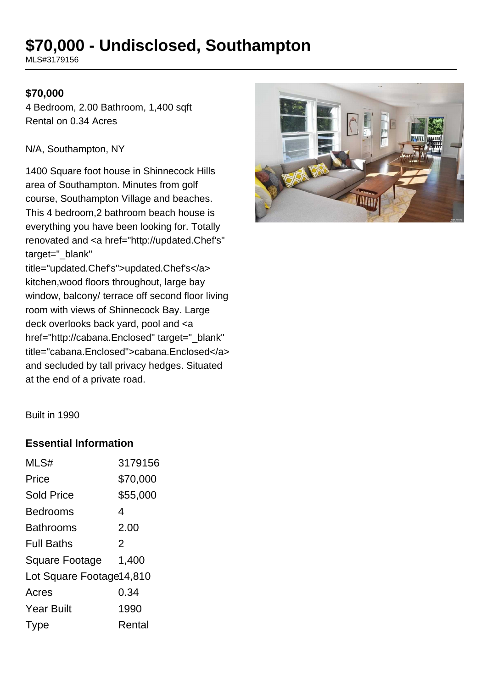# **\$70,000 - Undisclosed, Southampton**

MLS#3179156

#### **\$70,000**

4 Bedroom, 2.00 Bathroom, 1,400 sqft Rental on 0.34 Acres

N/A, Southampton, NY

1400 Square foot house in Shinnecock Hills area of Southampton. Minutes from golf course, Southampton Village and beaches. This 4 bedroom,2 bathroom beach house is everything you have been looking for. Totally renovated and <a href="http://updated.Chef's" target=" blank"

title="updated.Chef's">updated.Chef's</a> kitchen,wood floors throughout, large bay window, balcony/ terrace off second floor living room with views of Shinnecock Bay. Large deck overlooks back yard, pool and <a href="http://cabana.Enclosed" target="\_blank" title="cabana.Enclosed">cabana.Enclosed</a> and secluded by tall privacy hedges. Situated at the end of a private road.



Built in 1990

#### **Essential Information**

| MLS#                     | 3179156  |
|--------------------------|----------|
| Price                    | \$70,000 |
| <b>Sold Price</b>        | \$55,000 |
| Bedrooms                 | 4        |
| <b>Bathrooms</b>         | 2.00     |
| <b>Full Baths</b>        | 2        |
| Square Footage           | 1,400    |
| Lot Square Footage14,810 |          |
| Acres                    | 0.34     |
| <b>Year Built</b>        | 1990     |
| <b>I</b> ype             | Rental   |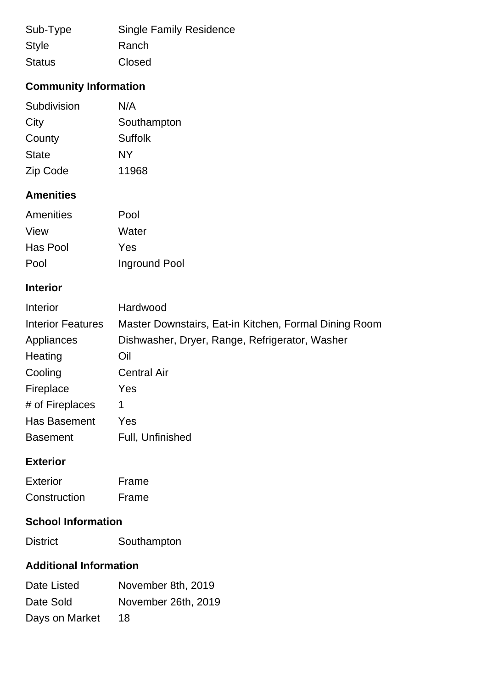| Sub-Type      | <b>Single Family Residence</b> |
|---------------|--------------------------------|
| <b>Style</b>  | Ranch                          |
| <b>Status</b> | Closed                         |

## **Community Information**

| Subdivision  | N/A         |
|--------------|-------------|
| City         | Southampton |
| County       | Suffolk     |
| <b>State</b> | NΥ          |
| Zip Code     | 11968       |
|              |             |

### **Amenities**

| Amenities | Pool          |
|-----------|---------------|
| View      | Water         |
| Has Pool  | Yes           |
| Pool      | Inground Pool |

### **Interior**

| Interior                 | Hardwood                                              |
|--------------------------|-------------------------------------------------------|
| <b>Interior Features</b> | Master Downstairs, Eat-in Kitchen, Formal Dining Room |
| Appliances               | Dishwasher, Dryer, Range, Refrigerator, Washer        |
| Heating                  | Oil                                                   |
| Cooling                  | <b>Central Air</b>                                    |
| Fireplace                | Yes                                                   |
| # of Fireplaces          | 1                                                     |
| Has Basement             | Yes                                                   |
| <b>Basement</b>          | Full, Unfinished                                      |
|                          |                                                       |

#### **Exterior**

| <b>Exterior</b> | Frame |
|-----------------|-------|
| Construction    | Frame |

## **School Information**

| <b>District</b> | Southampton |
|-----------------|-------------|
|-----------------|-------------|

## **Additional Information**

| Date Listed    | November 8th, 2019  |
|----------------|---------------------|
| Date Sold      | November 26th, 2019 |
| Days on Market | 18                  |